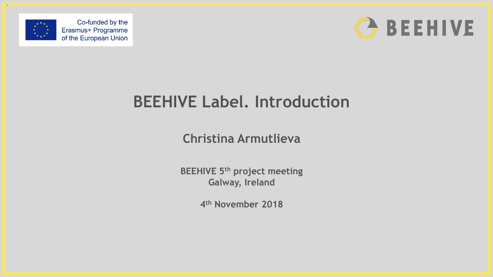



# **BEEHIVE Label. Introduction**

**Christina Armutlieva**

**BEEHIVE 5th project meeting Galway, Ireland**

**4 th November 2018**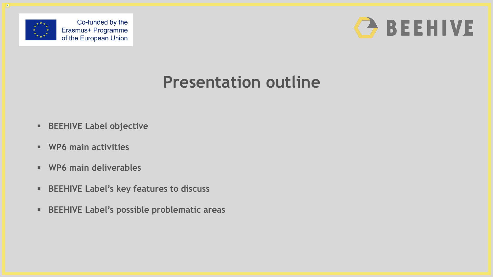



#### **Presentation outline**

- **BEEHIVE Label objective**
- **WP6 main activities**
- **WP6 main deliverables**
- **BEEHIVE Label's key features to discuss**
- **BEEHIVE Label's possible problematic areas**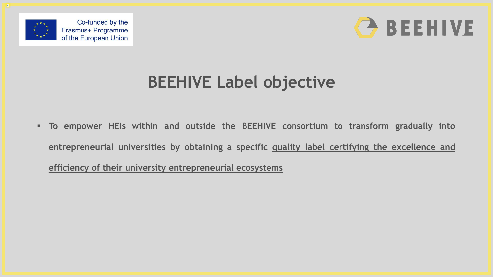



### **BEEHIVE Label objective**

 **To empower HEIs within and outside the BEEHIVE consortium to transform gradually into entrepreneurial universities by obtaining a specific quality label certifying the excellence and efficiency of their university entrepreneurial ecosystems**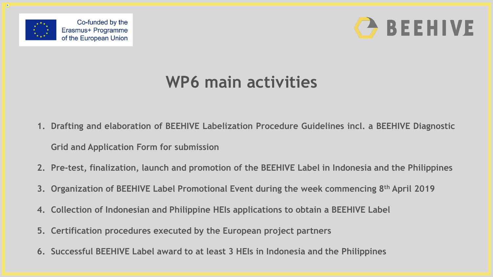



### **WP6 main activities**

- **1. Drafting and elaboration of BEEHIVE Labelization Procedure Guidelines incl. a BEEHIVE Diagnostic**
	- **Grid and Application Form for submission**
- **2. Pre-test, finalization, launch and promotion of the BEEHIVE Label in Indonesia and the Philippines**
- **3. Organization of BEEHIVE Label Promotional Event during the week commencing 8 th April 2019**
- **4. Collection of Indonesian and Philippine HEIs applications to obtain a BEEHIVE Label**
- **5. Certification procedures executed by the European project partners**
- **6. Successful BEEHIVE Label award to at least 3 HEIs in Indonesia and the Philippines**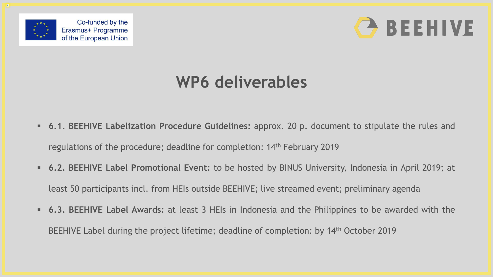



## **WP6 deliverables**

- **6.1. BEEHIVE Labelization Procedure Guidelines:** approx. 20 p. document to stipulate the rules and regulations of the procedure; deadline for completion: 14th February 2019
- **6.2. BEEHIVE Label Promotional Event:** to be hosted by BINUS University, Indonesia in April 2019; at least 50 participants incl. from HEIs outside BEEHIVE; live streamed event; preliminary agenda
- **6.3. BEEHIVE Label Awards:** at least 3 HEIs in Indonesia and the Philippines to be awarded with the BEEHIVE Label during the project lifetime; deadline of completion: by 14th October 2019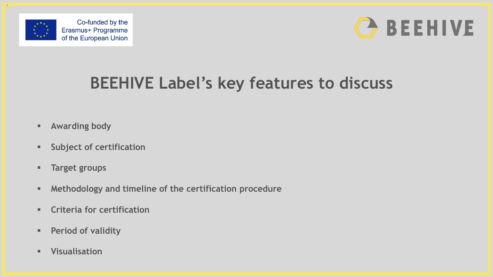



# **BEEHIVE Label's key features to discuss**

- **Awarding body**
- **Subject of certification**
- **Target groups**
- **Methodology and timeline of the certification procedure**
- **Criteria for certification**
- **Period of validity**
- **Visualisation**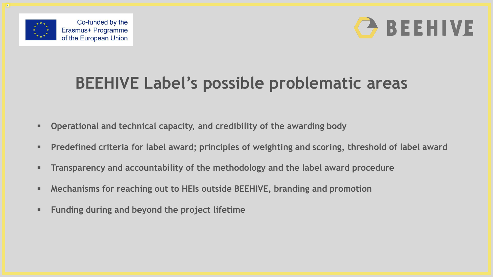



## **BEEHIVE Label's possible problematic areas**

- **Operational and technical capacity, and credibility of the awarding body**
- **Predefined criteria for label award; principles of weighting and scoring, threshold of label award**
- **Transparency and accountability of the methodology and the label award procedure**
- **Mechanisms for reaching out to HEIs outside BEEHIVE, branding and promotion**
- **Funding during and beyond the project lifetime**